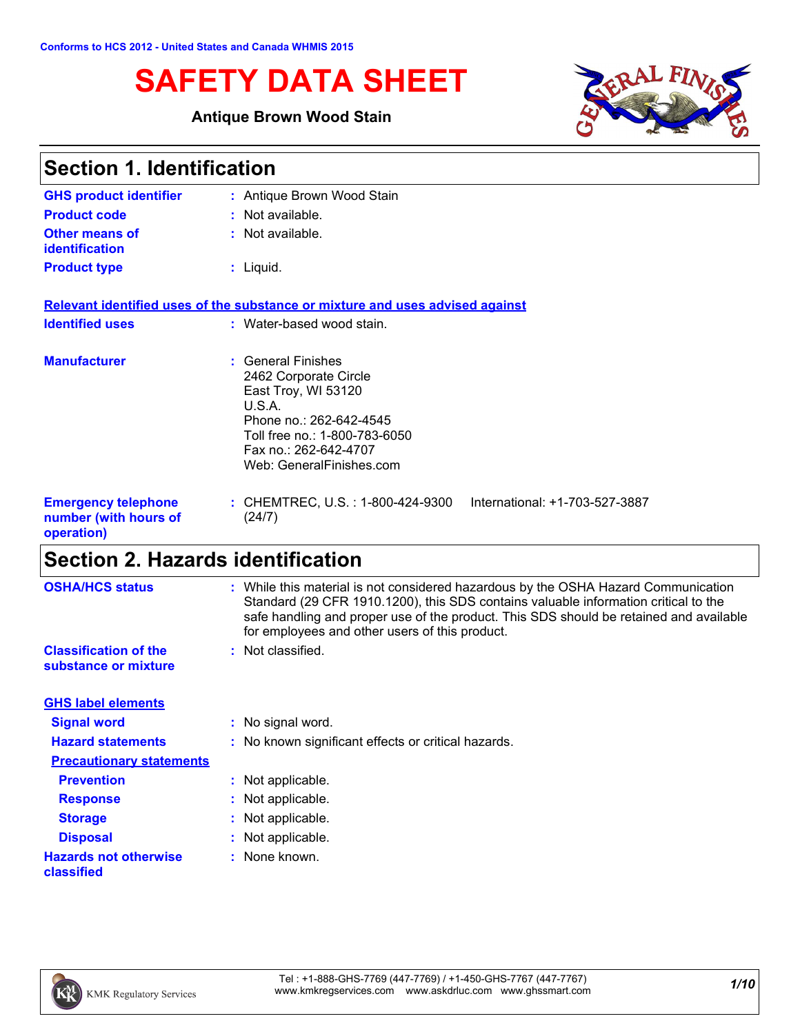# **SAFETY DATA SHEET**

### **Antique Brown Wood Stain**



| <b>Section 1. Identification</b>                                  |                                                                                                                                                                                               |
|-------------------------------------------------------------------|-----------------------------------------------------------------------------------------------------------------------------------------------------------------------------------------------|
| <b>GHS product identifier</b>                                     | : Antique Brown Wood Stain                                                                                                                                                                    |
| <b>Product code</b>                                               | : Not available.                                                                                                                                                                              |
| <b>Other means of</b><br><b>identification</b>                    | : Not available.                                                                                                                                                                              |
| <b>Product type</b>                                               | $:$ Liquid.                                                                                                                                                                                   |
|                                                                   | Relevant identified uses of the substance or mixture and uses advised against                                                                                                                 |
| <b>Identified uses</b>                                            | : Water-based wood stain.                                                                                                                                                                     |
| <b>Manufacturer</b>                                               | : General Finishes<br>2462 Corporate Circle<br>East Troy, WI 53120<br>U.S.A.<br>Phone no.: 262-642-4545<br>Toll free no.: 1-800-783-6050<br>Fax no.: 262-642-4707<br>Web: GeneralFinishes.com |
| <b>Emergency telephone</b><br>number (with hours of<br>operation) | : CHEMTREC, U.S. : 1-800-424-9300<br>International: +1-703-527-3887<br>(24/7)                                                                                                                 |

# **Section 2. Hazards identification**

| <b>OSHA/HCS status</b>                               | : While this material is not considered hazardous by the OSHA Hazard Communication<br>Standard (29 CFR 1910.1200), this SDS contains valuable information critical to the<br>safe handling and proper use of the product. This SDS should be retained and available<br>for employees and other users of this product. |
|------------------------------------------------------|-----------------------------------------------------------------------------------------------------------------------------------------------------------------------------------------------------------------------------------------------------------------------------------------------------------------------|
| <b>Classification of the</b><br>substance or mixture | : Not classified.                                                                                                                                                                                                                                                                                                     |
| <b>GHS label elements</b>                            |                                                                                                                                                                                                                                                                                                                       |
| <b>Signal word</b>                                   | : No signal word.                                                                                                                                                                                                                                                                                                     |
| <b>Hazard statements</b>                             | : No known significant effects or critical hazards.                                                                                                                                                                                                                                                                   |
| <b>Precautionary statements</b>                      |                                                                                                                                                                                                                                                                                                                       |
| <b>Prevention</b>                                    | : Not applicable.                                                                                                                                                                                                                                                                                                     |
| <b>Response</b>                                      | : Not applicable.                                                                                                                                                                                                                                                                                                     |
| <b>Storage</b>                                       | : Not applicable.                                                                                                                                                                                                                                                                                                     |
| <b>Disposal</b>                                      | : Not applicable.                                                                                                                                                                                                                                                                                                     |
| <b>Hazards not otherwise</b><br>classified           | : None known.                                                                                                                                                                                                                                                                                                         |
|                                                      |                                                                                                                                                                                                                                                                                                                       |

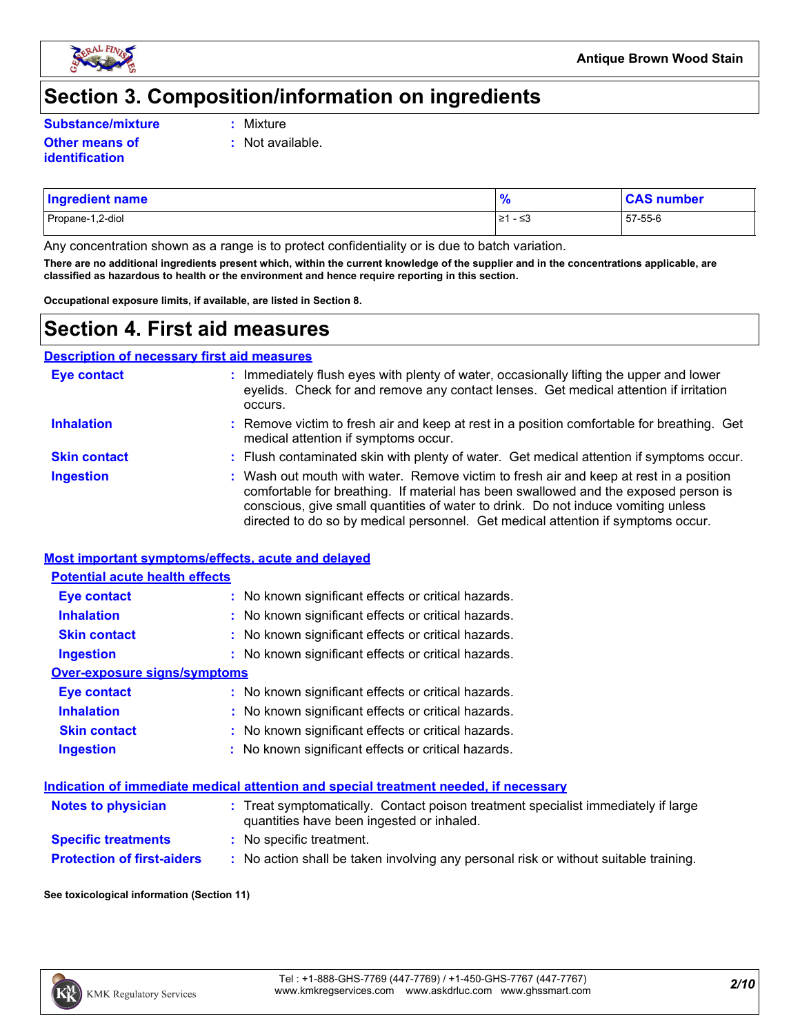

### **Section 3. Composition/information on ingredients**

**Substance/mixture :**

- Mixture
- **Other means of identification**
- **:** Not available.
- Propane-1,2-diol ≥1 ≤3 57-55-6 **Ingredient name % CAS number**

Any concentration shown as a range is to protect confidentiality or is due to batch variation.

**There are no additional ingredients present which, within the current knowledge of the supplier and in the concentrations applicable, are classified as hazardous to health or the environment and hence require reporting in this section.**

**Occupational exposure limits, if available, are listed in Section 8.**

### **Section 4. First aid measures**

**Description of necessary first aid measures**

| <b>Eye contact</b>  | : Immediately flush eyes with plenty of water, occasionally lifting the upper and lower<br>eyelids. Check for and remove any contact lenses. Get medical attention if irritation<br>occurs.                                                                                                                                                            |
|---------------------|--------------------------------------------------------------------------------------------------------------------------------------------------------------------------------------------------------------------------------------------------------------------------------------------------------------------------------------------------------|
| <b>Inhalation</b>   | : Remove victim to fresh air and keep at rest in a position comfortable for breathing. Get<br>medical attention if symptoms occur.                                                                                                                                                                                                                     |
| <b>Skin contact</b> | : Flush contaminated skin with plenty of water. Get medical attention if symptoms occur.                                                                                                                                                                                                                                                               |
| <b>Ingestion</b>    | : Wash out mouth with water. Remove victim to fresh air and keep at rest in a position<br>comfortable for breathing. If material has been swallowed and the exposed person is<br>conscious, give small quantities of water to drink. Do not induce vomiting unless<br>directed to do so by medical personnel. Get medical attention if symptoms occur. |

#### **Most important symptoms/effects, acute and delayed**

| <b>Potential acute health effects</b> |                                                     |
|---------------------------------------|-----------------------------------------------------|
| Eye contact                           | : No known significant effects or critical hazards. |
| <b>Inhalation</b>                     | : No known significant effects or critical hazards. |
| <b>Skin contact</b>                   | : No known significant effects or critical hazards. |
| <b>Ingestion</b>                      | : No known significant effects or critical hazards. |
| Over-exposure signs/symptoms          |                                                     |
| <b>Eye contact</b>                    | : No known significant effects or critical hazards. |
| <b>Inhalation</b>                     | : No known significant effects or critical hazards. |
| <b>Skin contact</b>                   | : No known significant effects or critical hazards. |
| <b>Ingestion</b>                      | : No known significant effects or critical hazards. |

#### **Indication of immediate medical attention and special treatment needed, if necessary**

| <b>Notes to physician</b>         | : Treat symptomatically. Contact poison treatment specialist immediately if large<br>quantities have been ingested or inhaled. |
|-----------------------------------|--------------------------------------------------------------------------------------------------------------------------------|
| <b>Specific treatments</b>        | : No specific treatment.                                                                                                       |
| <b>Protection of first-aiders</b> | No action shall be taken involving any personal risk or without suitable training.                                             |

#### **See toxicological information (Section 11)**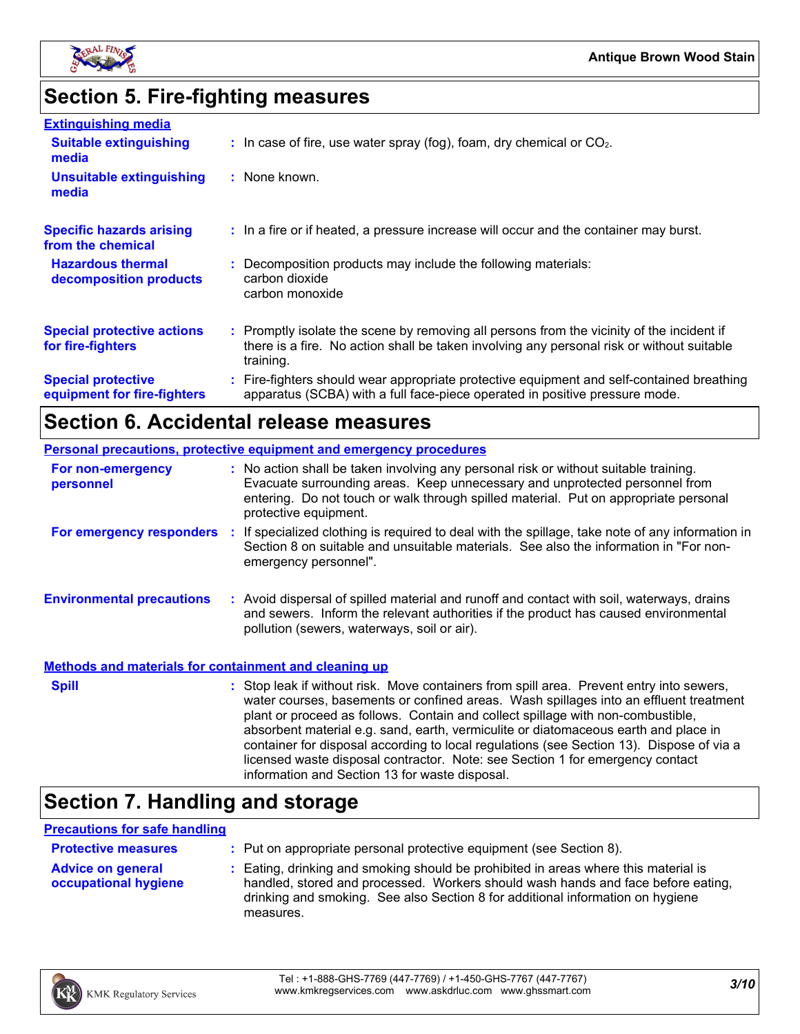

## **Section 5. Fire-fighting measures**

| <b>Extinguishing media</b>                               |                                                                                                                                                                                                     |
|----------------------------------------------------------|-----------------------------------------------------------------------------------------------------------------------------------------------------------------------------------------------------|
| <b>Suitable extinguishing</b><br>media                   | $\therefore$ In case of fire, use water spray (fog), foam, dry chemical or CO <sub>2</sub> .                                                                                                        |
| <b>Unsuitable extinguishing</b><br>media                 | : None known.                                                                                                                                                                                       |
| <b>Specific hazards arising</b><br>from the chemical     | : In a fire or if heated, a pressure increase will occur and the container may burst.                                                                                                               |
| <b>Hazardous thermal</b><br>decomposition products       | : Decomposition products may include the following materials:<br>carbon dioxide<br>carbon monoxide                                                                                                  |
| <b>Special protective actions</b><br>for fire-fighters   | : Promptly isolate the scene by removing all persons from the vicinity of the incident if<br>there is a fire. No action shall be taken involving any personal risk or without suitable<br>training. |
| <b>Special protective</b><br>equipment for fire-fighters | : Fire-fighters should wear appropriate protective equipment and self-contained breathing<br>apparatus (SCBA) with a full face-piece operated in positive pressure mode.                            |

### **Section 6. Accidental release measures**

|                                                              | <b>Personal precautions, protective equipment and emergency procedures</b>                                                                                                                                                                                                                                                                                                                                                                                                                                                                                                                 |
|--------------------------------------------------------------|--------------------------------------------------------------------------------------------------------------------------------------------------------------------------------------------------------------------------------------------------------------------------------------------------------------------------------------------------------------------------------------------------------------------------------------------------------------------------------------------------------------------------------------------------------------------------------------------|
| For non-emergency<br>personnel                               | : No action shall be taken involving any personal risk or without suitable training.<br>Evacuate surrounding areas. Keep unnecessary and unprotected personnel from<br>entering. Do not touch or walk through spilled material. Put on appropriate personal<br>protective equipment.                                                                                                                                                                                                                                                                                                       |
| <b>For emergency responders :</b>                            | If specialized clothing is required to deal with the spillage, take note of any information in<br>Section 8 on suitable and unsuitable materials. See also the information in "For non-<br>emergency personnel".                                                                                                                                                                                                                                                                                                                                                                           |
| <b>Environmental precautions</b>                             | : Avoid dispersal of spilled material and runoff and contact with soil, waterways, drains<br>and sewers. Inform the relevant authorities if the product has caused environmental<br>pollution (sewers, waterways, soil or air).                                                                                                                                                                                                                                                                                                                                                            |
| <b>Methods and materials for containment and cleaning up</b> |                                                                                                                                                                                                                                                                                                                                                                                                                                                                                                                                                                                            |
| <b>Spill</b>                                                 | : Stop leak if without risk. Move containers from spill area. Prevent entry into sewers,<br>water courses, basements or confined areas. Wash spillages into an effluent treatment<br>plant or proceed as follows. Contain and collect spillage with non-combustible,<br>absorbent material e.g. sand, earth, vermiculite or diatomaceous earth and place in<br>container for disposal according to local regulations (see Section 13). Dispose of via a<br>licensed waste disposal contractor. Note: see Section 1 for emergency contact<br>information and Section 13 for waste disposal. |

## **Section 7. Handling and storage**

#### **Precautions for safe handling**

| <b>Protective measures</b>                       | : Put on appropriate personal protective equipment (see Section 8).                                                                                                                                                                                                    |
|--------------------------------------------------|------------------------------------------------------------------------------------------------------------------------------------------------------------------------------------------------------------------------------------------------------------------------|
| <b>Advice on general</b><br>occupational hygiene | : Eating, drinking and smoking should be prohibited in areas where this material is<br>handled, stored and processed. Workers should wash hands and face before eating,<br>drinking and smoking. See also Section 8 for additional information on hygiene<br>measures. |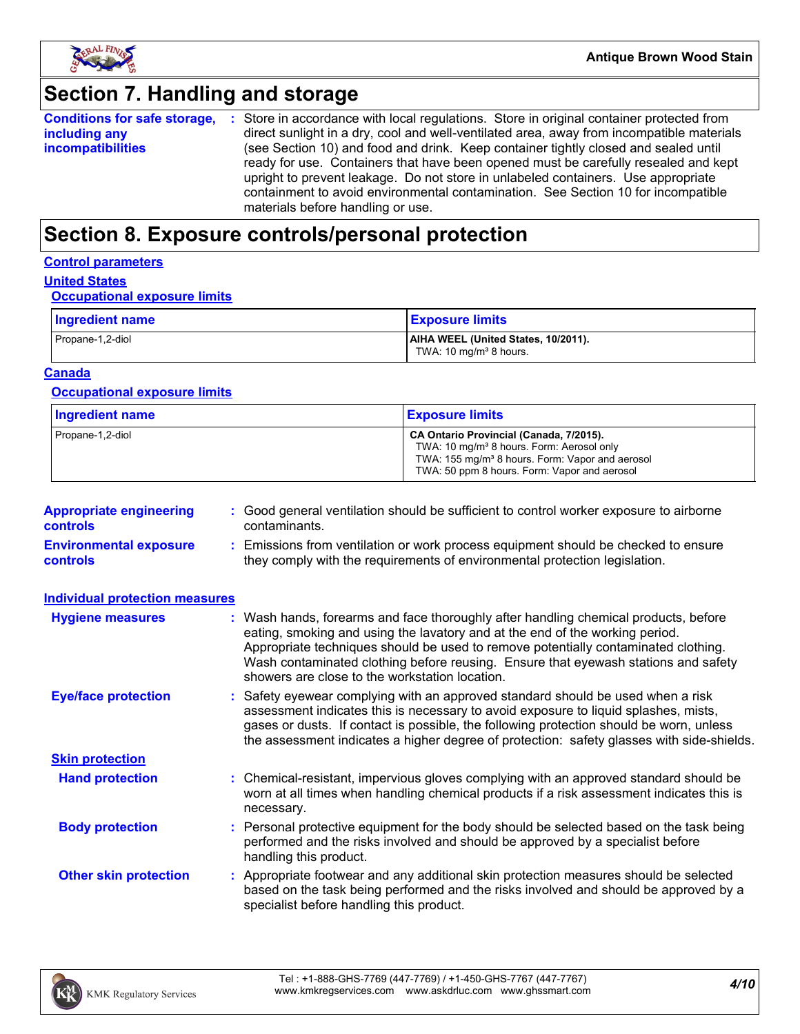

### **Section 7. Handling and storage**

**Conditions for safe storage, including any incompatibilities** Store in accordance with local regulations. Store in original container protected from **:** direct sunlight in a dry, cool and well-ventilated area, away from incompatible materials (see Section 10) and food and drink. Keep container tightly closed and sealed until ready for use. Containers that have been opened must be carefully resealed and kept upright to prevent leakage. Do not store in unlabeled containers. Use appropriate containment to avoid environmental contamination. See Section 10 for incompatible materials before handling or use.

### **Section 8. Exposure controls/personal protection**

#### **Control parameters**

#### **United States**

#### **Occupational exposure limits**

| Ingredient name  | <b>Exposure limits</b>                                                    |
|------------------|---------------------------------------------------------------------------|
| Propane-1,2-diol | AIHA WEEL (United States, 10/2011).<br>TWA: 10 mg/m <sup>3</sup> 8 hours. |

#### **Canada**

#### **Occupational exposure limits**

| <b>Ingredient name</b> | <b>Exposure limits</b>                                                                                                                                                                                          |
|------------------------|-----------------------------------------------------------------------------------------------------------------------------------------------------------------------------------------------------------------|
| Propane-1,2-diol       | CA Ontario Provincial (Canada, 7/2015).<br>TWA: 10 mg/m <sup>3</sup> 8 hours. Form: Aerosol only<br>TWA: 155 mg/m <sup>3</sup> 8 hours. Form: Vapor and aerosol<br>TWA: 50 ppm 8 hours. Form: Vapor and aerosol |

| <b>Appropriate engineering</b><br><b>controls</b> | : Good general ventilation should be sufficient to control worker exposure to airborne<br>contaminants.                                                          |
|---------------------------------------------------|------------------------------------------------------------------------------------------------------------------------------------------------------------------|
| <b>Environmental exposure</b><br><b>controls</b>  | : Emissions from ventilation or work process equipment should be checked to ensure<br>they comply with the requirements of environmental protection legislation. |

| <b>Individual protection measures</b> |                                                                                                                                                                                                                                                                                                                                                                                                   |
|---------------------------------------|---------------------------------------------------------------------------------------------------------------------------------------------------------------------------------------------------------------------------------------------------------------------------------------------------------------------------------------------------------------------------------------------------|
| <b>Hygiene measures</b>               | : Wash hands, forearms and face thoroughly after handling chemical products, before<br>eating, smoking and using the lavatory and at the end of the working period.<br>Appropriate techniques should be used to remove potentially contaminated clothing.<br>Wash contaminated clothing before reusing. Ensure that eyewash stations and safety<br>showers are close to the workstation location. |
| <b>Eye/face protection</b>            | : Safety eyewear complying with an approved standard should be used when a risk<br>assessment indicates this is necessary to avoid exposure to liquid splashes, mists,<br>gases or dusts. If contact is possible, the following protection should be worn, unless<br>the assessment indicates a higher degree of protection: safety glasses with side-shields.                                    |
| <b>Skin protection</b>                |                                                                                                                                                                                                                                                                                                                                                                                                   |
| <b>Hand protection</b>                | : Chemical-resistant, impervious gloves complying with an approved standard should be<br>worn at all times when handling chemical products if a risk assessment indicates this is<br>necessary.                                                                                                                                                                                                   |
| <b>Body protection</b>                | : Personal protective equipment for the body should be selected based on the task being<br>performed and the risks involved and should be approved by a specialist before<br>handling this product.                                                                                                                                                                                               |
| <b>Other skin protection</b>          | : Appropriate footwear and any additional skin protection measures should be selected<br>based on the task being performed and the risks involved and should be approved by a<br>specialist before handling this product.                                                                                                                                                                         |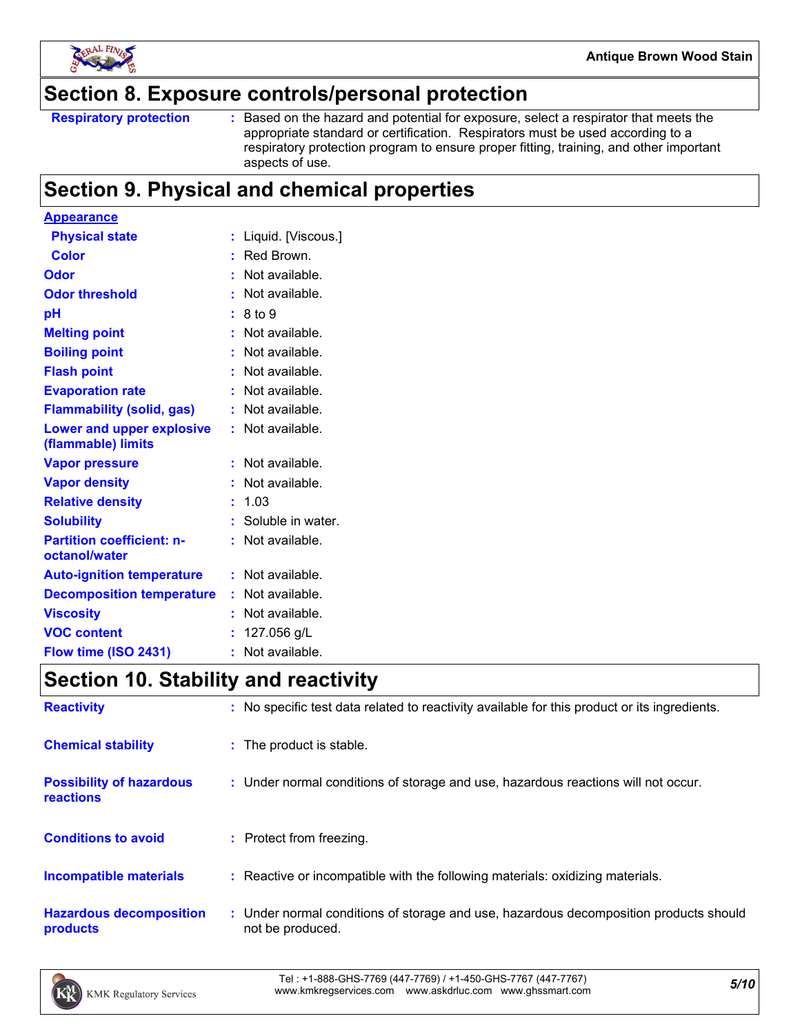

### **Section 8. Exposure controls/personal protection**

```
Respiratory protection :
```
Based on the hazard and potential for exposure, select a respirator that meets the appropriate standard or certification. Respirators must be used according to a respiratory protection program to ensure proper fitting, training, and other important aspects of use.

### **Section 9. Physical and chemical properties**

| <b>Appearance</b>                                 |                      |
|---------------------------------------------------|----------------------|
| <b>Physical state</b>                             | Liquid. [Viscous.]   |
| <b>Color</b>                                      | Red Brown.<br>÷.     |
| <b>Odor</b>                                       | Not available.<br>÷. |
| <b>Odor threshold</b>                             | Not available.       |
| pH                                                | 8 to 9               |
| <b>Melting point</b>                              | Not available.       |
| <b>Boiling point</b>                              | Not available.<br>t. |
| <b>Flash point</b>                                | Not available.<br>t. |
| <b>Evaporation rate</b>                           | Not available.       |
| <b>Flammability (solid, gas)</b>                  | Not available.       |
| Lower and upper explosive<br>(flammable) limits   | : Not available.     |
| <b>Vapor pressure</b>                             | Not available.       |
| <b>Vapor density</b>                              | Not available.       |
| <b>Relative density</b>                           | 1.03<br>t.           |
| <b>Solubility</b>                                 | Soluble in water.    |
| <b>Partition coefficient: n-</b><br>octanol/water | Not available.       |
| <b>Auto-ignition temperature</b>                  | $:$ Not available.   |
| <b>Decomposition temperature</b>                  | : Not available.     |
| <b>Viscosity</b>                                  | Not available.       |
| <b>VOC content</b>                                | 127.056 g/L          |
| Flow time (ISO 2431)                              | Not available.<br>۰  |

### **Section 10. Stability and reactivity**

| <b>Reactivity</b>                            | : No specific test data related to reactivity available for this product or its ingredients.              |
|----------------------------------------------|-----------------------------------------------------------------------------------------------------------|
| <b>Chemical stability</b>                    | : The product is stable.                                                                                  |
| <b>Possibility of hazardous</b><br>reactions | : Under normal conditions of storage and use, hazardous reactions will not occur.                         |
| <b>Conditions to avoid</b>                   | : Protect from freezing.                                                                                  |
| <b>Incompatible materials</b>                | : Reactive or incompatible with the following materials: oxidizing materials.                             |
| <b>Hazardous decomposition</b><br>products   | : Under normal conditions of storage and use, hazardous decomposition products should<br>not be produced. |

*5/10* Tel : +1-888-GHS-7769 (447-7769) / +1-450-GHS-7767 (447-7767) www.kmkregservices.com www.askdrluc.com www.ghssmart.com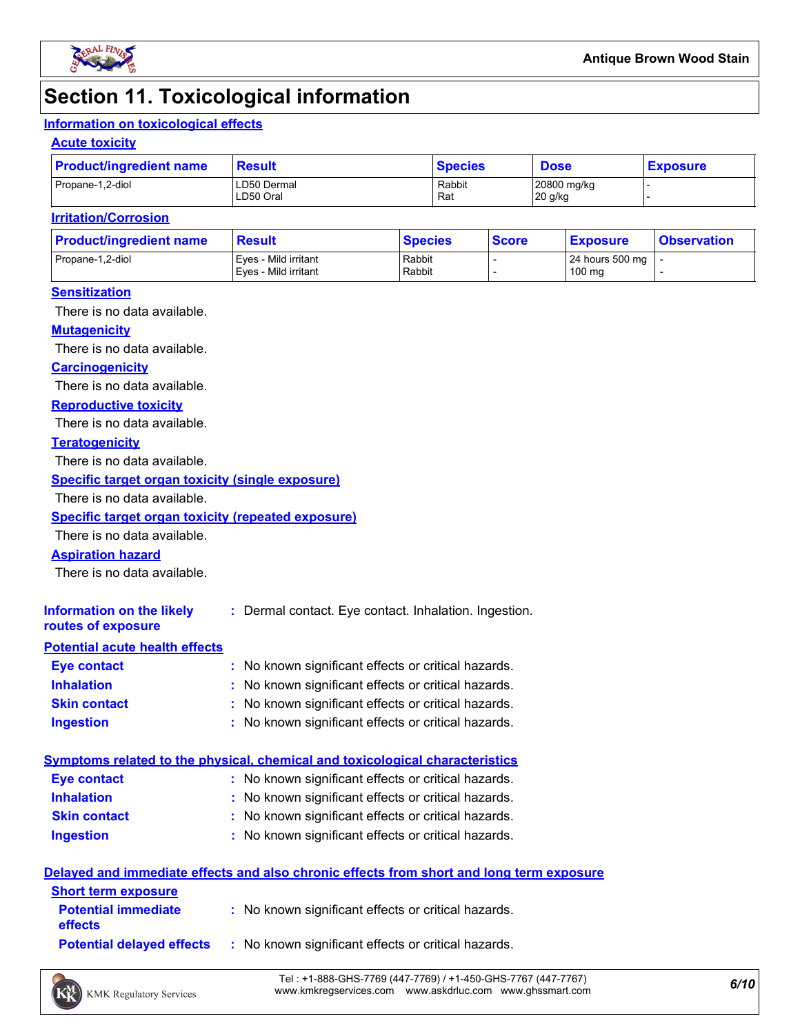

### **Section 11. Toxicological information**

### **Information on toxicological effects**

#### **Acute toxicity**

| <b>Product/ingredient name</b> | Result                   | <b>Species</b> | <b>Dose</b>            | <b>Exposure</b> |  |
|--------------------------------|--------------------------|----------------|------------------------|-----------------|--|
| Propane-1,2-diol               | LD50 Dermal<br>LD50 Oral | Rabbit<br>Rat  | 20800 mg/kg<br>20 g/kg |                 |  |

#### **Irritation/Corrosion**

| <b>Product/ingredient name</b> | <b>Result</b>                                | <b>Species</b>   | <b>Score</b> | <u>  Exposure</u>         | <b>Observation</b> |
|--------------------------------|----------------------------------------------|------------------|--------------|---------------------------|--------------------|
| Propane-1,2-diol               | Eves - Mild irritant<br>Eves - Mild irritant | Rabbit<br>Rabbit |              | 24 hours 500 mg<br>100 mg |                    |
|                                |                                              |                  |              |                           |                    |

#### **Sensitization**

There is no data available.

#### **Mutagenicity**

There is no data available.

#### **Carcinogenicity**

There is no data available.

#### **Reproductive toxicity**

There is no data available.

#### **Teratogenicity**

There is no data available.

#### **Specific target organ toxicity (single exposure)**

There is no data available.

#### **Specific target organ toxicity (repeated exposure)**

There is no data available.

#### **Aspiration hazard**

There is no data available.

| Information on the likely<br>routes of exposure | : Dermal contact. Eye contact. Inhalation. Ingestion. |
|-------------------------------------------------|-------------------------------------------------------|
| <b>Potential acute health effects</b>           |                                                       |
| Eye contact                                     | : No known significant effects or critical hazards.   |
| <b>Inhalation</b>                               | : No known significant effects or critical hazards.   |
| <b>Skin contact</b>                             | : No known significant effects or critical hazards.   |

#### **Ingestion :** No known significant effects or critical hazards.

|                     | Symptoms related to the physical, chemical and toxicological characteristics |  |
|---------------------|------------------------------------------------------------------------------|--|
| Eye contact         | : No known significant effects or critical hazards.                          |  |
| <b>Inhalation</b>   | : No known significant effects or critical hazards.                          |  |
| <b>Skin contact</b> | : No known significant effects or critical hazards.                          |  |
| <b>Ingestion</b>    | : No known significant effects or critical hazards.                          |  |

#### **Delayed and immediate effects and also chronic effects from short and long term exposure**

| <b>Short term exposure</b>                   |                                                     |
|----------------------------------------------|-----------------------------------------------------|
| <b>Potential immediate</b><br><b>effects</b> | : No known significant effects or critical hazards. |
| <b>Potential delaved effects</b>             | : No known significant effects or critical hazards. |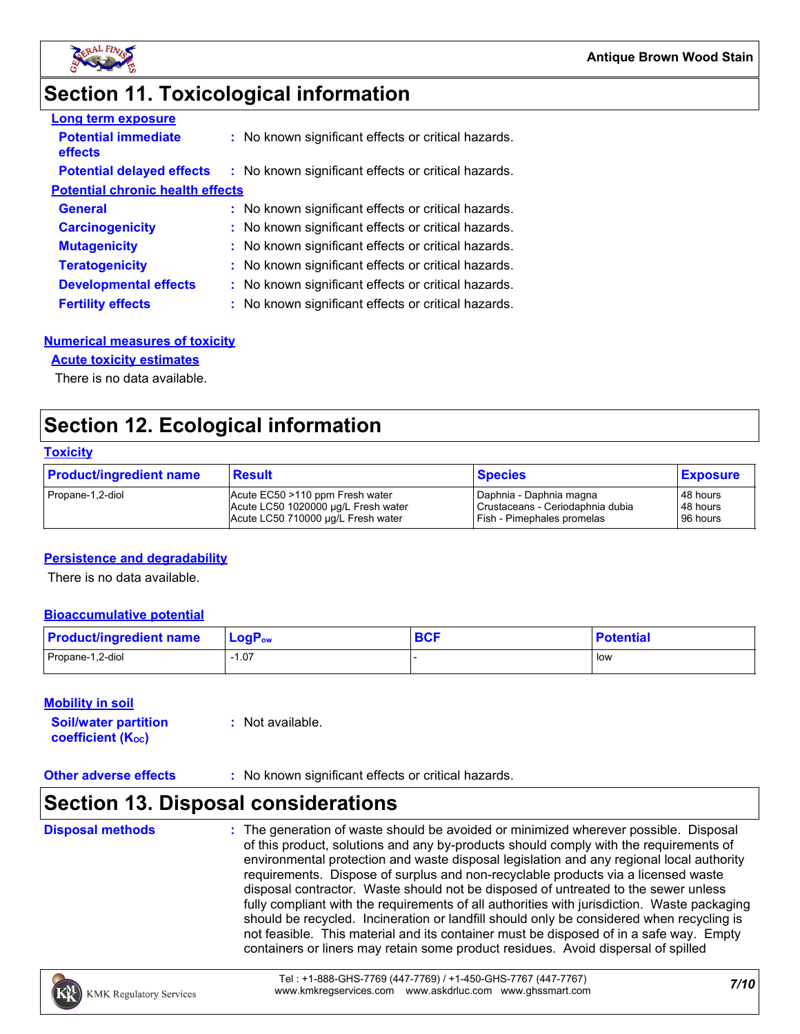

### **Section 11. Toxicological information**

| <b>Long term exposure</b>               |                                                     |
|-----------------------------------------|-----------------------------------------------------|
| <b>Potential immediate</b><br>effects   | : No known significant effects or critical hazards. |
| <b>Potential delayed effects</b>        | : No known significant effects or critical hazards. |
| <b>Potential chronic health effects</b> |                                                     |
| <b>General</b>                          | : No known significant effects or critical hazards. |
| <b>Carcinogenicity</b>                  | : No known significant effects or critical hazards. |
| <b>Mutagenicity</b>                     | : No known significant effects or critical hazards. |
| <b>Teratogenicity</b>                   | : No known significant effects or critical hazards. |
| <b>Developmental effects</b>            | : No known significant effects or critical hazards. |
| <b>Fertility effects</b>                | : No known significant effects or critical hazards. |

#### **Numerical measures of toxicity**

#### **Acute toxicity estimates**

There is no data available.

### **Section 12. Ecological information**

#### **Toxicity**

| <b>Product/ingredient name</b> | <b>Result</b>                       | <b>Species</b>                   | <b>Exposure</b> |
|--------------------------------|-------------------------------------|----------------------------------|-----------------|
| Propane-1,2-diol               | Acute EC50 >110 ppm Fresh water     | I Daphnia - Daphnia magna        | 48 hours        |
|                                | Acute LC50 1020000 ug/L Fresh water | Crustaceans - Ceriodaphnia dubia | 48 hours        |
|                                | Acute LC50 710000 ug/L Fresh water  | Fish - Pimephales promelas       | 96 hours        |

#### **Persistence and degradability**

There is no data available.

#### **Bioaccumulative potential**

| <b>Product/ingredient name</b> | $\mathsf{LogP}_\mathsf{ow}$ | <b>BCF</b> | <b>Potential</b> |
|--------------------------------|-----------------------------|------------|------------------|
| Propane-1,2-diol               | .07                         |            | low              |

#### **Mobility in soil**

| <b>Soil/water partition</b> | : Not available. |
|-----------------------------|------------------|
| <b>coefficient (Koc)</b>    |                  |

#### **Other adverse effects** : No known significant effects or critical hazards.

### **Section 13. Disposal considerations**

**Disposal methods :**

The generation of waste should be avoided or minimized wherever possible. Disposal of this product, solutions and any by-products should comply with the requirements of environmental protection and waste disposal legislation and any regional local authority requirements. Dispose of surplus and non-recyclable products via a licensed waste disposal contractor. Waste should not be disposed of untreated to the sewer unless fully compliant with the requirements of all authorities with jurisdiction. Waste packaging should be recycled. Incineration or landfill should only be considered when recycling is not feasible. This material and its container must be disposed of in a safe way. Empty containers or liners may retain some product residues. Avoid dispersal of spilled

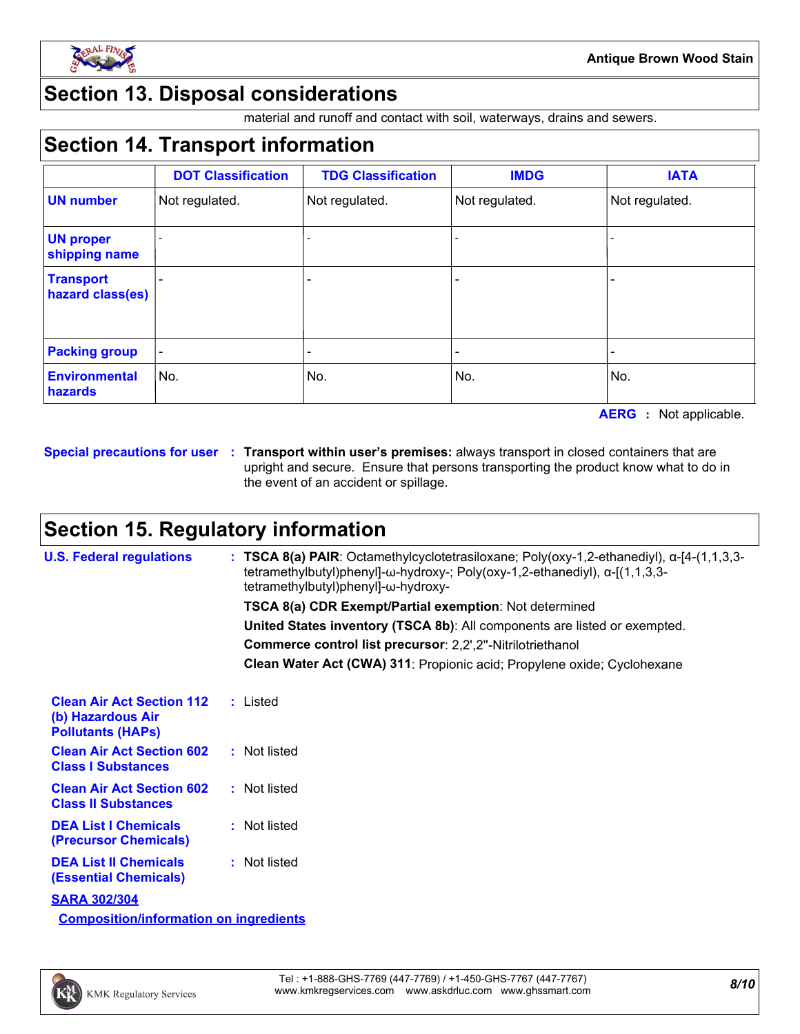

### **Section 13. Disposal considerations**

material and runoff and contact with soil, waterways, drains and sewers.

### **Section 14. Transport information**

|                                      | <b>DOT Classification</b> | <b>TDG Classification</b> | <b>IMDG</b>    | <b>IATA</b>    |
|--------------------------------------|---------------------------|---------------------------|----------------|----------------|
| <b>UN number</b>                     | Not regulated.            | Not regulated.            | Not regulated. | Not regulated. |
| <b>UN proper</b><br>shipping name    |                           |                           |                |                |
| <b>Transport</b><br>hazard class(es) |                           | -                         |                |                |
| <b>Packing group</b>                 |                           |                           |                |                |
| <b>Environmental</b><br>hazards      | No.                       | No.                       | No.            | No.            |

**AERG :** Not applicable.

**Special precautions for user Transport within user's premises:** always transport in closed containers that are **:** upright and secure. Ensure that persons transporting the product know what to do in the event of an accident or spillage.

### **Section 15. Regulatory information**

| <b>U.S. Federal regulations</b>                                                   | : TSCA 8(a) PAIR: Octamethylcyclotetrasiloxane; Poly(oxy-1,2-ethanediyl), $\alpha$ -[4-(1,1,3,3-<br>tetramethylbutyl)phenyl]- $\omega$ -hydroxy-; Poly(oxy-1,2-ethanediyl), $\alpha$ -[(1,1,3,3-<br>tetramethylbutyl)phenyl]-ω-hydroxy- |
|-----------------------------------------------------------------------------------|-----------------------------------------------------------------------------------------------------------------------------------------------------------------------------------------------------------------------------------------|
|                                                                                   | <b>TSCA 8(a) CDR Exempt/Partial exemption: Not determined</b>                                                                                                                                                                           |
|                                                                                   | United States inventory (TSCA 8b): All components are listed or exempted.                                                                                                                                                               |
|                                                                                   | Commerce control list precursor: 2,2',2"-Nitrilotriethanol                                                                                                                                                                              |
|                                                                                   | Clean Water Act (CWA) 311: Propionic acid; Propylene oxide; Cyclohexane                                                                                                                                                                 |
| <b>Clean Air Act Section 112</b><br>(b) Hazardous Air<br><b>Pollutants (HAPs)</b> | : Listed                                                                                                                                                                                                                                |
| <b>Clean Air Act Section 602</b><br><b>Class I Substances</b>                     | : Not listed                                                                                                                                                                                                                            |
| <b>Clean Air Act Section 602</b><br><b>Class II Substances</b>                    | : Not listed                                                                                                                                                                                                                            |
| <b>DEA List I Chemicals</b><br><b>(Precursor Chemicals)</b>                       | : Not listed                                                                                                                                                                                                                            |
| <b>DEA List II Chemicals</b><br><b>(Essential Chemicals)</b>                      | : Not listed                                                                                                                                                                                                                            |
| <b>SARA 302/304</b>                                                               |                                                                                                                                                                                                                                         |
| <b>Composition/information on ingredients</b>                                     |                                                                                                                                                                                                                                         |

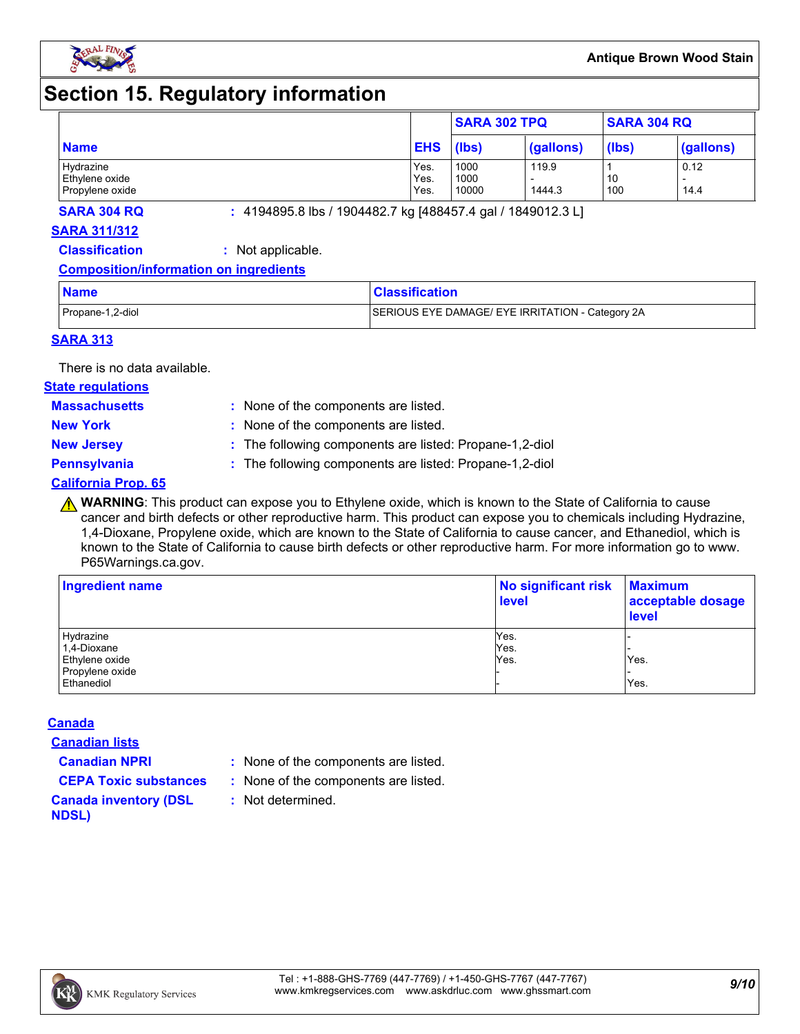

### **Section 15. Regulatory information**

|                 |            | <b>SARA 302 TPQ</b> |           | <b>SARA 304 RQ</b> |           |
|-----------------|------------|---------------------|-----------|--------------------|-----------|
| <b>Name</b>     | <b>EHS</b> | (lbs)               | (gallons) | (lbs)              | (gallons) |
| Hydrazine       | Yes.       | 1000                | 119.9     |                    | 0.12      |
| Ethylene oxide  | Yes.       | 1000                |           | 10                 |           |
| Propylene oxide | Yes.       | 10000               | 1444.3    | 100                | 14.4      |

**SARA 304 RQ :** 4194895.8 lbs / 1904482.7 kg [488457.4 gal / 1849012.3 L]

#### **SARA 311/312**

**Classification :** Not applicable.

#### **Composition/information on ingredients**

| <b>Name</b>      | <b>Classification</b>                            |
|------------------|--------------------------------------------------|
| Propane-1,2-diol | SERIOUS EYE DAMAGE/ EYE IRRITATION - Category 2A |

#### **SARA 313**

There is no data available.

#### **State regulations**

**Massachusetts :**

: None of the components are listed. **New York :** None of the components are listed.

**New Jersey :** The following components are listed: Propane-1,2-diol

**Pennsylvania :** The following components are listed: Propane-1,2-diol

#### **California Prop. 65**

**A WARNING**: This product can expose you to Ethylene oxide, which is known to the State of California to cause cancer and birth defects or other reproductive harm. This product can expose you to chemicals including Hydrazine, 1,4-Dioxane, Propylene oxide, which are known to the State of California to cause cancer, and Ethanediol, which is known to the State of California to cause birth defects or other reproductive harm. For more information go to www. P65Warnings.ca.gov.

| Ingredient name | No significant risk<br><b>level</b> | <b>Maximum</b><br>acceptable dosage<br><b>level</b> |  |
|-----------------|-------------------------------------|-----------------------------------------------------|--|
| Hydrazine       | Yes.                                |                                                     |  |
| 1,4-Dioxane     | Yes.                                |                                                     |  |
| Ethylene oxide  | Yes.                                | Yes.                                                |  |
| Propylene oxide |                                     |                                                     |  |
| Ethanediol      |                                     | Yes.                                                |  |

#### **Canada**

**Canadian lists**

**Canadian NPRI :** None of the components are listed.

**CEPA Toxic substances :** None of the components are listed.

**:** Not determined.

**Canada inventory (DSL NDSL)**